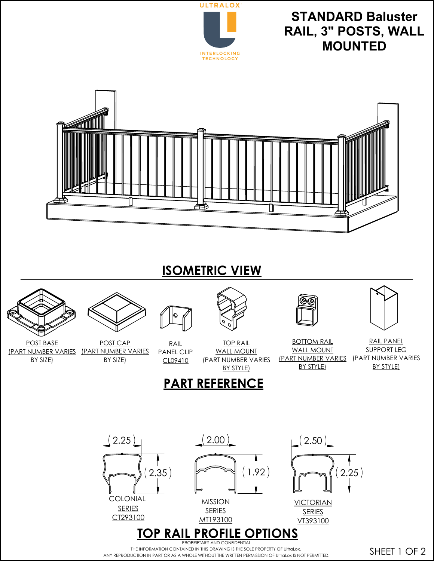

**STANDARD Baluster RAIL, 3" POSTS, WALL MOUNTED**



## **ISOMETRIC VIEW**



PROPRIETARY AND CONFIDENTIAL THE INFORMATION CONTAINED IN THIS DRAWING IS THE SOLE PROPERTY OF UltraLox. ANY REPRODUCTION IN PART OR AS A WHOLE WITHOUT THE WRITTEN PERMISSION OF UltraLox IS NOT PERMITTED.